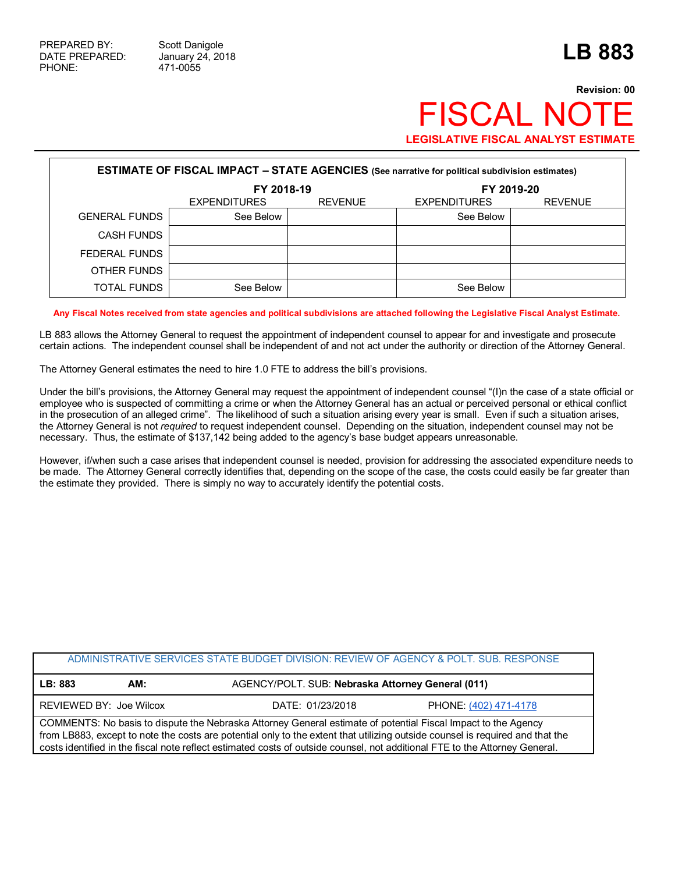## **Revision: 00 FISCAL NOT LEGISLATIVE FISCAL ANALYST ESTIMATE**

| <b>ESTIMATE OF FISCAL IMPACT - STATE AGENCIES</b> (See narrative for political subdivision estimates) |                     |                |                     |                |  |
|-------------------------------------------------------------------------------------------------------|---------------------|----------------|---------------------|----------------|--|
|                                                                                                       | FY 2018-19          |                | FY 2019-20          |                |  |
|                                                                                                       | <b>EXPENDITURES</b> | <b>REVENUE</b> | <b>EXPENDITURES</b> | <b>REVENUE</b> |  |
| <b>GENERAL FUNDS</b>                                                                                  | See Below           |                | See Below           |                |  |
| <b>CASH FUNDS</b>                                                                                     |                     |                |                     |                |  |
| FEDERAL FUNDS                                                                                         |                     |                |                     |                |  |
| OTHER FUNDS                                                                                           |                     |                |                     |                |  |
| <b>TOTAL FUNDS</b>                                                                                    | See Below           |                | See Below           |                |  |

**Any Fiscal Notes received from state agencies and political subdivisions are attached following the Legislative Fiscal Analyst Estimate.**

LB 883 allows the Attorney General to request the appointment of independent counsel to appear for and investigate and prosecute certain actions. The independent counsel shall be independent of and not act under the authority or direction of the Attorney General.

The Attorney General estimates the need to hire 1.0 FTE to address the bill's provisions.

Under the bill's provisions, the Attorney General may request the appointment of independent counsel "(I)n the case of a state official or employee who is suspected of committing a crime or when the Attorney General has an actual or perceived personal or ethical conflict in the prosecution of an alleged crime". The likelihood of such a situation arising every year is small. Even if such a situation arises, the Attorney General is not *required* to request independent counsel. Depending on the situation, independent counsel may not be necessary. Thus, the estimate of \$137,142 being added to the agency's base budget appears unreasonable.

However, if/when such a case arises that independent counsel is needed, provision for addressing the associated expenditure needs to be made. The Attorney General correctly identifies that, depending on the scope of the case, the costs could easily be far greater than the estimate they provided. There is simply no way to accurately identify the potential costs.

| ADMINISTRATIVE SERVICES STATE BUDGET DIVISION: REVIEW OF AGENCY & POLT. SUB. RESPONSE                                                                                                                                                                                                                                                                                         |                  |                                                   |  |  |  |
|-------------------------------------------------------------------------------------------------------------------------------------------------------------------------------------------------------------------------------------------------------------------------------------------------------------------------------------------------------------------------------|------------------|---------------------------------------------------|--|--|--|
| LB: 883<br>AM:                                                                                                                                                                                                                                                                                                                                                                |                  | AGENCY/POLT. SUB: Nebraska Attorney General (011) |  |  |  |
| REVIEWED BY: Joe Wilcox                                                                                                                                                                                                                                                                                                                                                       | DATE: 01/23/2018 | PHONE: (402) 471-4178                             |  |  |  |
| COMMENTS: No basis to dispute the Nebraska Attorney General estimate of potential Fiscal Impact to the Agency<br>from LB883, except to note the costs are potential only to the extent that utilizing outside counsel is required and that the<br>costs identified in the fiscal note reflect estimated costs of outside counsel, not additional FTE to the Attorney General. |                  |                                                   |  |  |  |